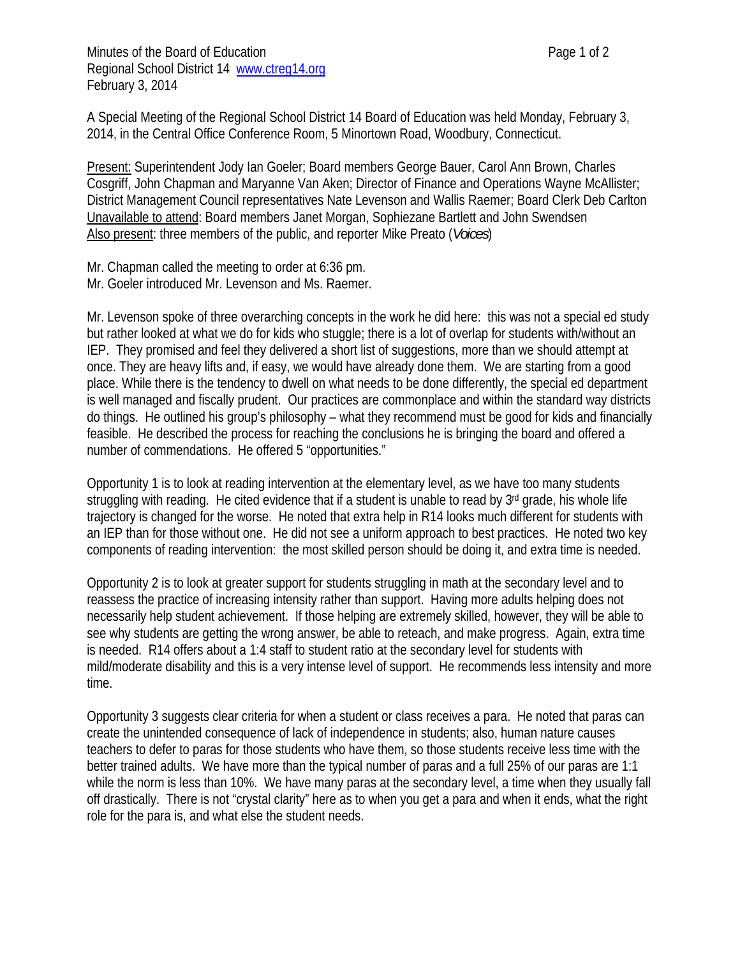Minutes of the Board of Education **Page 1** of 2 Regional School District 14 www.ctreg14.org February 3, 2014

A Special Meeting of the Regional School District 14 Board of Education was held Monday, February 3, 2014, in the Central Office Conference Room, 5 Minortown Road, Woodbury, Connecticut.

Present: Superintendent Jody Ian Goeler; Board members George Bauer, Carol Ann Brown, Charles Cosgriff, John Chapman and Maryanne Van Aken; Director of Finance and Operations Wayne McAllister; District Management Council representatives Nate Levenson and Wallis Raemer; Board Clerk Deb Carlton Unavailable to attend: Board members Janet Morgan, Sophiezane Bartlett and John Swendsen Also present: three members of the public, and reporter Mike Preato (*Voices*)

Mr. Chapman called the meeting to order at 6:36 pm. Mr. Goeler introduced Mr. Levenson and Ms. Raemer.

Mr. Levenson spoke of three overarching concepts in the work he did here: this was not a special ed study but rather looked at what we do for kids who stuggle; there is a lot of overlap for students with/without an IEP. They promised and feel they delivered a short list of suggestions, more than we should attempt at once. They are heavy lifts and, if easy, we would have already done them. We are starting from a good place. While there is the tendency to dwell on what needs to be done differently, the special ed department is well managed and fiscally prudent. Our practices are commonplace and within the standard way districts do things. He outlined his group's philosophy – what they recommend must be good for kids and financially feasible. He described the process for reaching the conclusions he is bringing the board and offered a number of commendations. He offered 5 "opportunities."

Opportunity 1 is to look at reading intervention at the elementary level, as we have too many students struggling with reading. He cited evidence that if a student is unable to read by 3<sup>rd</sup> grade, his whole life trajectory is changed for the worse. He noted that extra help in R14 looks much different for students with an IEP than for those without one. He did not see a uniform approach to best practices. He noted two key components of reading intervention: the most skilled person should be doing it, and extra time is needed.

Opportunity 2 is to look at greater support for students struggling in math at the secondary level and to reassess the practice of increasing intensity rather than support. Having more adults helping does not necessarily help student achievement. If those helping are extremely skilled, however, they will be able to see why students are getting the wrong answer, be able to reteach, and make progress. Again, extra time is needed. R14 offers about a 1:4 staff to student ratio at the secondary level for students with mild/moderate disability and this is a very intense level of support. He recommends less intensity and more time.

Opportunity 3 suggests clear criteria for when a student or class receives a para. He noted that paras can create the unintended consequence of lack of independence in students; also, human nature causes teachers to defer to paras for those students who have them, so those students receive less time with the better trained adults. We have more than the typical number of paras and a full 25% of our paras are 1:1 while the norm is less than 10%. We have many paras at the secondary level, a time when they usually fall off drastically. There is not "crystal clarity" here as to when you get a para and when it ends, what the right role for the para is, and what else the student needs.